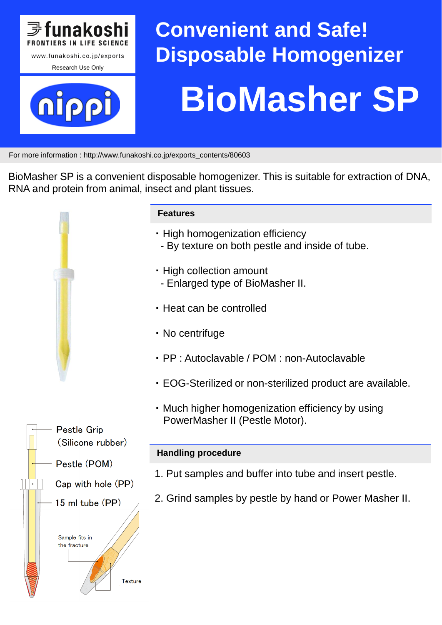

# **Convenient and Safe! Disposable Homogenizer BioMasher SP**

For more information : http://www.funakoshi.co.jp/exports\_contents/80603

BioMasher SP is a convenient disposable homogenizer. This is suitable for extraction of DNA, RNA and protein from animal, insect and plant tissues.



#### **Features**

- ・ High homogenization efficiency
- By texture on both pestle and inside of tube.
- ・ High collection amount
- Enlarged type of BioMasher II.
- ・ Heat can be controlled
- ・ No centrifuge
- ・ PP : Autoclavable / POM : non-Autoclavable
- ・ EOG-Sterilized or non-sterilized product are available.
- ・ Much higher homogenization efficiency by using PowerMasher II (Pestle Motor).

## **Handling procedure**

- 1. Put samples and buffer into tube and insert pestle.
- 2. Grind samples by pestle by hand or Power Masher II.